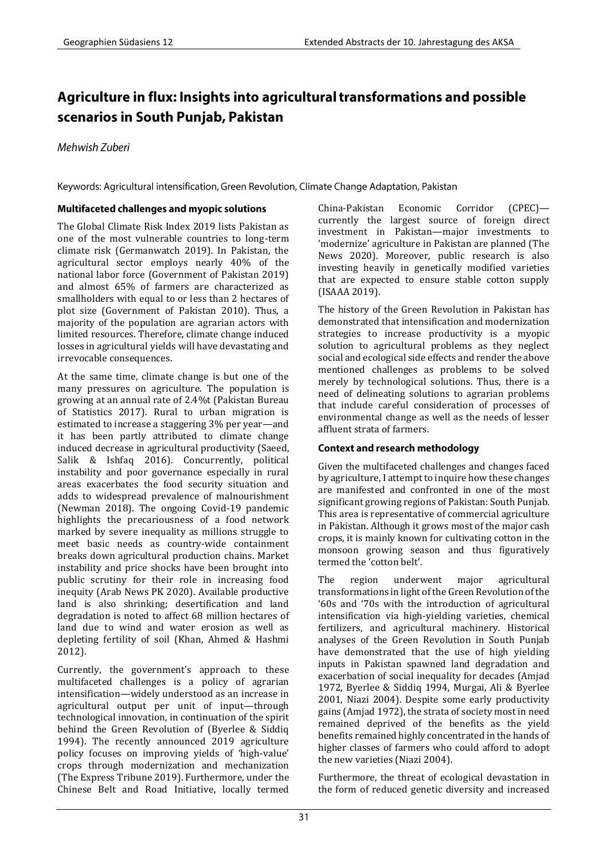# Agriculture in flux: Insights into agricultural transformations and possible scenarios in South Punjab, Pakistan

Mehwish Zuberi

Keywords: Agricultural intensification, Green Revolution, Climate Change Adaptation, Pakistan

# **Multifaceted challenges and myopic solutions**

The Global Climate Risk Index 2019 lists Pakistan as one of the most vulnerable countries to long-term climate risk (Germanwatch 2019). In Pakistan, the agricultural sector employs nearly 40% of the national labor force (Government of Pakistan 2019) and almost 65% of farmers are characterized as smallholders with equal to or less than 2 hectares of plot size (Government of Pakistan 2010). Thus, a majority of the population are agrarian actors with limited resources. Therefore, climate change induced losses in agricultural yields will have devastating and irrevocable consequences.

At the same time, climate change is but one of the many pressures on agriculture. The population is growing at an annual rate of 2.4%t (Pakistan Bureau of Statistics 2017). Rural to urban migration is estimated to increase a staggering 3% per year—and it has been partly attributed to climate change induced decrease in agricultural productivity (Saeed, Salik & Ishfaq 2016). Concurrently, political instability and poor governance especially in rural areas exacerbates the food security situation and adds to widespread prevalence of malnourishment (Newman 2018). The ongoing Covid-19 pandemic highlights the precariousness of a food network marked by severe inequality as millions struggle to meet basic needs as country-wide containment breaks down agricultural production chains. Market instability and price shocks have been brought into public scrutiny for their role in increasing food inequity (Arab News PK 2020). Available productive land is also shrinking; desertification and land degradation is noted to affect 68 million hectares of land due to wind and water erosion as well as depleting fertility of soil (Khan, Ahmed & Hashmi 2012).

Currently, the government's approach to these multifaceted challenges is a policy of agrarian intensification—widely understood as an increase in agricultural output per unit of input—through technological innovation, in continuation of the spirit behind the Green Revolution of (Byerlee & Siddiq 1994). The recently announced 2019 agriculture policy focuses on improving yields of 'high-value' crops through modernization and mechanization (The Express Tribune 2019). Furthermore, under the Chinese Belt and Road Initiative, locally termed China-Pakistan Economic Corridor (CPEC) currently the largest source of foreign direct investment in Pakistan—major investments to 'modernize' agriculture in Pakistan are planned (The News 2020). Moreover, public research is also investing heavily in genetically modified varieties that are expected to ensure stable cotton supply (ISAAA 2019).

The history of the Green Revolution in Pakistan has demonstrated that intensification and modernization strategies to increase productivity is a myopic solution to agricultural problems as they neglect social and ecological side effects and render the above mentioned challenges as problems to be solved merely by technological solutions. Thus, there is a need of delineating solutions to agrarian problems that include careful consideration of processes of environmental change as well as the needs of lesser affluent strata of farmers.

# **Context and research methodology**

Given the multifaceted challenges and changes faced by agriculture, I attempt to inquire how these changes are manifested and confronted in one of the most significant growing regions of Pakistan: South Punjab. This area is representative of commercial agriculture in Pakistan. Although it grows most of the major cash crops, it is mainly known for cultivating cotton in the monsoon growing season and thus figuratively termed the 'cotton belt'.

The region underwent major agricultural transformations in light of the Green Revolution of the '60s and '70s with the introduction of agricultural intensification via high-yielding varieties, chemical fertilizers, and agricultural machinery. Historical analyses of the Green Revolution in South Punjab have demonstrated that the use of high yielding inputs in Pakistan spawned land degradation and exacerbation of social inequality for decades (Amjad 1972, Byerlee & Siddiq 1994, Murgai, Ali & Byerlee 2001, Niazi 2004). Despite some early productivity gains (Amjad 1972), the strata of society most in need remained deprived of the benefits as the yield benefits remained highly concentrated in the hands of higher classes of farmers who could afford to adopt the new varieties (Niazi 2004).

Furthermore, the threat of ecological devastation in the form of reduced genetic diversity and increased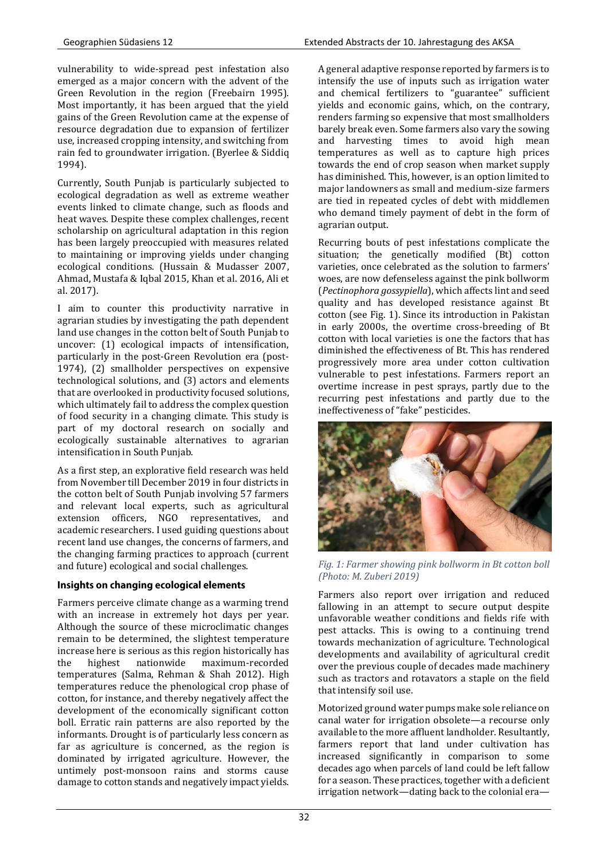vulnerability to wide-spread pest infestation also emerged as a major concern with the advent of the Green Revolution in the region (Freebairn 1995). Most importantly, it has been argued that the yield gains of the Green Revolution came at the expense of resource degradation due to expansion of fertilizer use, increased cropping intensity, and switching from rain fed to groundwater irrigation. (Byerlee & Siddiq 1994).

Currently, South Punjab is particularly subjected to ecological degradation as well as extreme weather events linked to climate change, such as floods and heat waves. Despite these complex challenges, recent scholarship on agricultural adaptation in this region has been largely preoccupied with measures related to maintaining or improving yields under changing ecological conditions. (Hussain & Mudasser 2007, Ahmad, Mustafa & Iqbal 2015, Khan et al. 2016, Ali et al. 2017).

I aim to counter this productivity narrative in agrarian studies by investigating the path dependent land use changes in the cotton belt of South Punjab to uncover: (1) ecological impacts of intensification, particularly in the post-Green Revolution era (post-1974), (2) smallholder perspectives on expensive technological solutions, and (3) actors and elements that are overlooked in productivity focused solutions, which ultimately fail to address the complex question of food security in a changing climate. This study is part of my doctoral research on socially and ecologically sustainable alternatives to agrarian intensification in South Punjab.

As a first step, an explorative field research was held from November till December 2019 in four districts in the cotton belt of South Punjab involving 57 farmers and relevant local experts, such as agricultural extension officers, NGO representatives, and academic researchers. I used guiding questions about recent land use changes, the concerns of farmers, and the changing farming practices to approach (current and future) ecological and social challenges.

# Insights on changing ecological elements

Farmers perceive climate change as a warming trend with an increase in extremely hot days per year. Although the source of these microclimatic changes remain to be determined, the slightest temperature increase here is serious as this region historically has the highest nationwide maximum-recorded temperatures (Salma, Rehman & Shah 2012). High temperatures reduce the phenological crop phase of cotton, for instance, and thereby negatively affect the development of the economically significant cotton boll. Erratic rain patterns are also reported by the informants. Drought is of particularly less concern as far as agriculture is concerned, as the region is dominated by irrigated agriculture. However, the untimely post-monsoon rains and storms cause damage to cotton stands and negatively impact yields. A general adaptive response reported by farmers is to intensify the use of inputs such as irrigation water and chemical fertilizers to "guarantee" sufficient yields and economic gains, which, on the contrary, renders farming so expensive that most smallholders barely break even. Some farmers also vary the sowing and harvesting times to avoid high mean temperatures as well as to capture high prices towards the end of crop season when market supply has diminished. This, however, is an option limited to major landowners as small and medium-size farmers are tied in repeated cycles of debt with middlemen who demand timely payment of debt in the form of agrarian output.

Recurring bouts of pest infestations complicate the situation; the genetically modified (Bt) cotton varieties, once celebrated as the solution to farmers' woes, are now defenseless against the pink bollworm (*Pectinophora gossypiella*), which affects lint and seed quality and has developed resistance against Bt cotton (see Fig. 1). Since its introduction in Pakistan in early 2000s, the overtime cross-breeding of Bt cotton with local varieties is one the factors that has diminished the effectiveness of Bt. This has rendered progressively more area under cotton cultivation vulnerable to pest infestations. Farmers report an overtime increase in pest sprays, partly due to the recurring pest infestations and partly due to the ineffectiveness of "fake" pesticides.



*Fig. 1: Farmer showing pink bollworm in Bt cotton boll (Photo: M. Zuberi 2019)* 

Farmers also report over irrigation and reduced fallowing in an attempt to secure output despite unfavorable weather conditions and fields rife with pest attacks. This is owing to a continuing trend towards mechanization of agriculture. Technological developments and availability of agricultural credit over the previous couple of decades made machinery such as tractors and rotavators a staple on the field that intensify soil use.

Motorized ground water pumps make sole reliance on canal water for irrigation obsolete—a recourse only available to the more affluent landholder. Resultantly, farmers report that land under cultivation has increased significantly in comparison to some decades ago when parcels of land could be left fallow for a season. These practices, together with a deficient irrigation network—dating back to the colonial era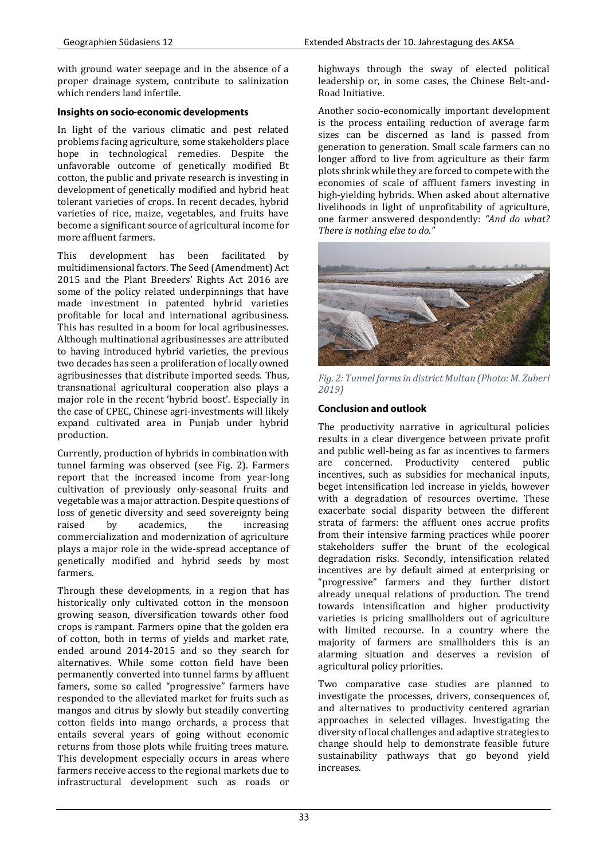with ground water seepage and in the absence of a proper drainage system, contribute to salinization which renders land infertile.

#### Insights on socio-economic developments

In light of the various climatic and pest related problems facing agriculture, some stakeholders place hope in technological remedies. Despite the unfavorable outcome of genetically modified Bt cotton, the public and private research is investing in development of genetically modified and hybrid heat tolerant varieties of crops. In recent decades, hybrid varieties of rice, maize, vegetables, and fruits have become a significant source of agricultural income for more affluent farmers.

This development has been facilitated by multidimensional factors. The Seed (Amendment) Act 2015 and the Plant Breeders' Rights Act 2016 are some of the policy related underpinnings that have made investment in patented hybrid varieties profitable for local and international agribusiness. This has resulted in a boom for local agribusinesses. Although multinational agribusinesses are attributed to having introduced hybrid varieties, the previous two decades has seen a proliferation of locally owned agribusinesses that distribute imported seeds. Thus, transnational agricultural cooperation also plays a major role in the recent 'hybrid boost'. Especially in the case of CPEC, Chinese agri-investments will likely expand cultivated area in Punjab under hybrid production.

Currently, production of hybrids in combination with tunnel farming was observed (see Fig. 2). Farmers report that the increased income from year-long cultivation of previously only-seasonal fruits and vegetable was a major attraction. Despite questions of loss of genetic diversity and seed sovereignty being raised by academics, the increasing commercialization and modernization of agriculture plays a major role in the wide-spread acceptance of genetically modified and hybrid seeds by most farmers.

Through these developments, in a region that has historically only cultivated cotton in the monsoon growing season, diversification towards other food crops is rampant. Farmers opine that the golden era of cotton, both in terms of yields and market rate, ended around 2014-2015 and so they search for alternatives. While some cotton field have been permanently converted into tunnel farms by affluent famers, some so called "progressive" farmers have responded to the alleviated market for fruits such as mangos and citrus by slowly but steadily converting cotton fields into mango orchards, a process that entails several years of going without economic returns from those plots while fruiting trees mature. This development especially occurs in areas where farmers receive access to the regional markets due to infrastructural development such as roads or highways through the sway of elected political leadership or, in some cases, the Chinese Belt-and-Road Initiative.

Another socio-economically important development is the process entailing reduction of average farm sizes can be discerned as land is passed from generation to generation. Small scale farmers can no longer afford to live from agriculture as their farm plots shrink while they are forced to compete with the economies of scale of affluent famers investing in high-yielding hybrids. When asked about alternative livelihoods in light of unprofitability of agriculture, one farmer answered despondently: *"And do what? There is nothing else to do."* 



*Fig. 2: Tunnel farms in district Multan (Photo: M. Zuberi 2019)*

# **Conclusion and outlook**

The productivity narrative in agricultural policies results in a clear divergence between private profit and public well-being as far as incentives to farmers are concerned. Productivity centered public incentives, such as subsidies for mechanical inputs, beget intensification led increase in yields, however with a degradation of resources overtime. These exacerbate social disparity between the different strata of farmers: the affluent ones accrue profits from their intensive farming practices while poorer stakeholders suffer the brunt of the ecological degradation risks. Secondly, intensification related incentives are by default aimed at enterprising or "progressive" farmers and they further distort already unequal relations of production. The trend towards intensification and higher productivity varieties is pricing smallholders out of agriculture with limited recourse. In a country where the majority of farmers are smallholders this is an alarming situation and deserves a revision of agricultural policy priorities.

Two comparative case studies are planned to investigate the processes, drivers, consequences of, and alternatives to productivity centered agrarian approaches in selected villages. Investigating the diversity of local challenges and adaptive strategies to change should help to demonstrate feasible future sustainability pathways that go beyond yield increases.